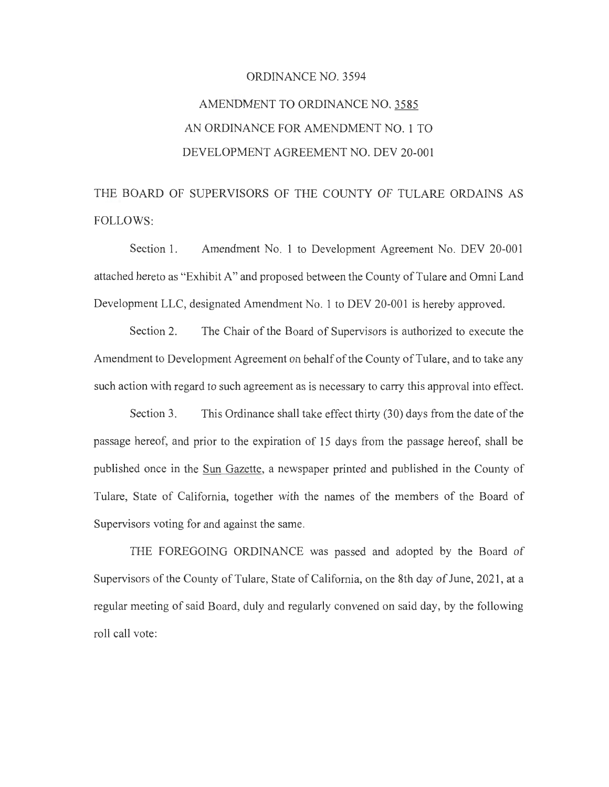# ORDINANCE NO. 3594 AMENDMENT TO ORDINANCE NO. 3585 AN ORDINANCE FOR AMENDMENT NO. 1 TO DEVELOPMENT AGREEMENT NO. DEV 20-001

THE BOARD OF SUPERVISORS OF THE COUNTY OF TULARE ORDAINS AS FOLLOWS:

Section 1. Amendment No. 1 to Development Agreement No. DEV 20-001 attached hereto as "Exhibit A" and proposed between the County of Tulare and Omni Land Development LLC, designated Amendment No. 1 to DEV 20-001 is hereby approved.

Section 2. The Chair of the Board of Supervisors is authorized to execute the Amendment to Development Agreement on behalf of the County of Tulare, and to take any such action with regard to such agreement as is necessary to carry this approval into effect.

Section 3. This Ordinance shall take effect thirty (30) days from the date of the passage hereof, and prior to the expiration of 15 days from the passage hereof, shall be published once in the Sun Gazette, a newspaper printed and published in the County of Tulare, State of California, together with the names of the members of the Board of Supervisors voting for and against the same.

THE FOREGOING ORDINANCE was passed and adopted by the Board of Supervisors of the County of Tulare, State of California, on the 8th day of June, 2021, at a regular meeting of said Board, duly and regularly convened on said day, by the following roll call vote: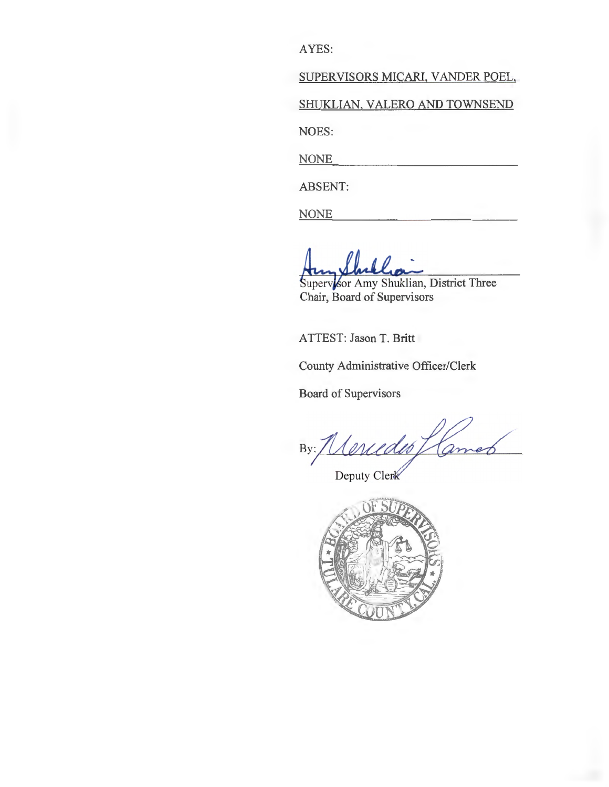AYES:

SUPERVISORS MICARI, VANDER POEL,

SHUKLIAN, VALERO AND TOWNSEND

NOES:

NONE

ABSENT:

**NONE** 

Superv for Amy Shuklian, District Three Chair, Board of Supervisors

ATTEST: Jason T. Britt

County Administrative Officer/Clerk

Board of Supervisors

Neriedes  $By:$ 

Deputy Clerk

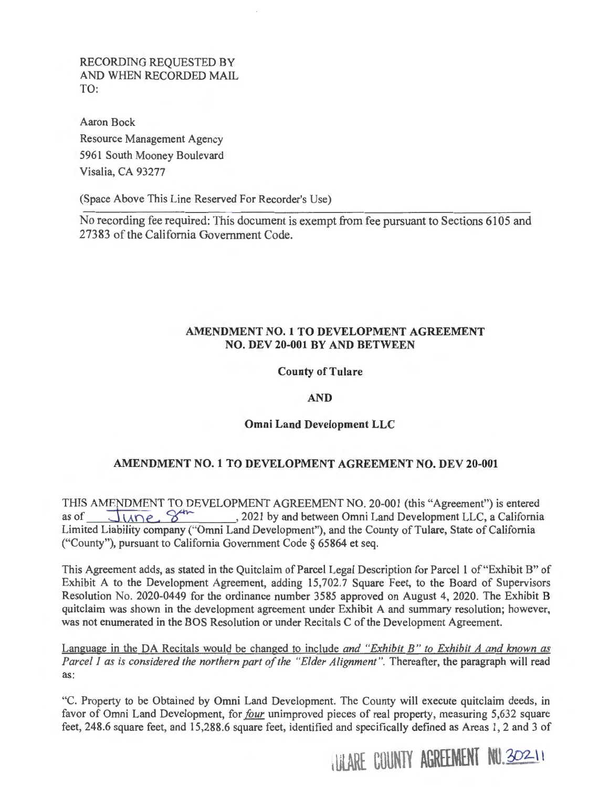RECORDING REQUESTED BY AND WHEN RECORDED MAIL TO:

Aaron Bock Resource Management Agency 5961 South Mooney Boulevard Visalia, CA 93277

(Space Above This Line Reserved For Recorder's Use)

No recording fee required: This document is exempt from fee pursuant to Sections 6105 and 27383 of the California Government Code.

### **AMENDMENT NO. 1 TO DEVELOPMENT AGREEMENT NO. DEV 20-001 BY AND BETWEEN**

#### **County of Tulare**

#### **AND**

## **Omni Land Development LLC**

## **AMENDMENT NO. 1 TO DEVELOPMENT AGREEMENT NO. DEV 20-001**

THIS AMENDMENT TO DEVELOPMENT AGREEMENT NO. 20-001 (this "Agreement") is entered as of **JUDE** 8 and between Omni Land Development LLC, a California as of  $\overline{\bigcup_{\text{MDE}}}$ ,  $\overline{\mathcal{S}^{\text{in}}_{\text{MDE}}}$ , 2021 by and between Omni Land Development LLC, a California Limited Liability company ("Omni Land Development"), and the County of Tulare, State of California ("County"), pursuant to California Government Code§ 65864 et seq.

This Agreement adds, as stated in the Quitclaim of Parcel Legal Description for Parcel **1** of "Exhibit B" of Exhibit A to the Development Agreement, adding 15,702.7 Square Feet, to the Board of Supervisors Resolution No. 2020-0449 for the ordinance number 3585 approved on August 4, 2020. The Exhibit B quitclaim was shown in the development agreement under Exhibit A and summary resolution; however, was not enumerated in the BOS Resolution or under Recitals C of the Development Agreement.

Language in the DA Recitals would be changed to include *and "Exhibit B" to Exhibit A and known as Parcel 1 as is considered the northern part of the "Elder Alignment ".* Thereafter, the paragraph will read as:

"C. Property to be Obtained by Omni Land Development. The County will execute quitclaim deeds, in favor of Omni Land Development, for *four* unimproved pieces of real property, measuring 5,632 square feet, 248.6 square feet, and 15,288.6 square feet, identified and specifically defined as Areas 1, 2 and 3 of

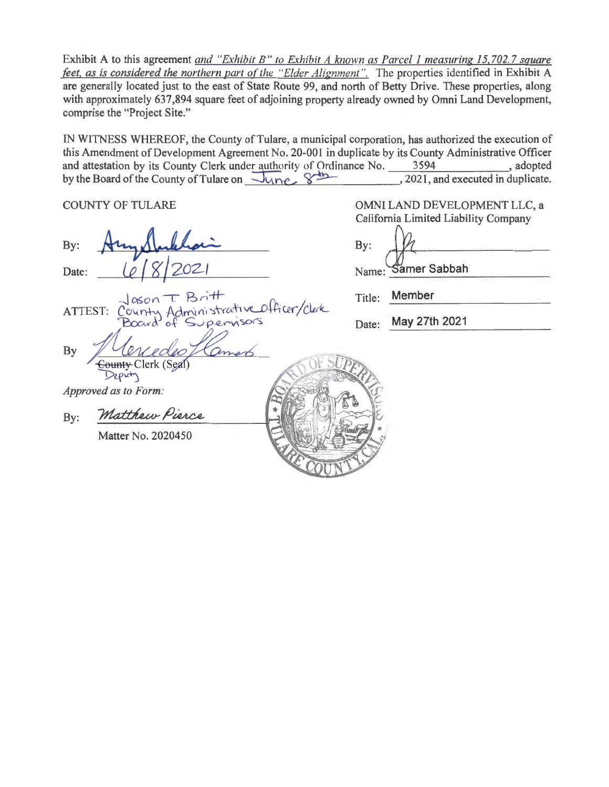Exhibit A to this agreement *and "Exhibit B" to Exhibit A known as Parcel 1 measuring 15,702.7 square feet, as is considered the northern part of the "Elder Alignment".* The properties identified in Exhibit A are generally located just to the east of State Route 99, and north of Betty Drive. These properties, along with approximately 637,894 square feet of adjoining property already owned by Omni Land Development, comprise the "Project Site."

IN WITNESS WHEREOF, the County of Tulare, a municipal corporation, has authorized the execution of this Amendment of Development Agreement No. 20-001 in duplicate by its County Administrative Officer<br>and attestation by its County Clerk under authority of Ordinance No. 3594, adopted and attestation by its County Clerk under authority of Ordinance No. 3594 , adopted by the Board of the County of Tulare on **lane ... 8 3594** , 2021, and executed in duplicate.

COUNTY OF TULARE

By: Date:

Officer/Clerk ATTEST: n Admi 'ou

Clerk (Seal Deputy

By

Approved as to Form:<br>By: Matthew Pierce

Matter No. 2020450

OMNI LAND DEVELOPMENT LLC, a California Limited Liability Company By: Name: Samer Sabbah

| Title: | Member |  |
|--------|--------|--|
|        |        |  |

Date: May 27th 2021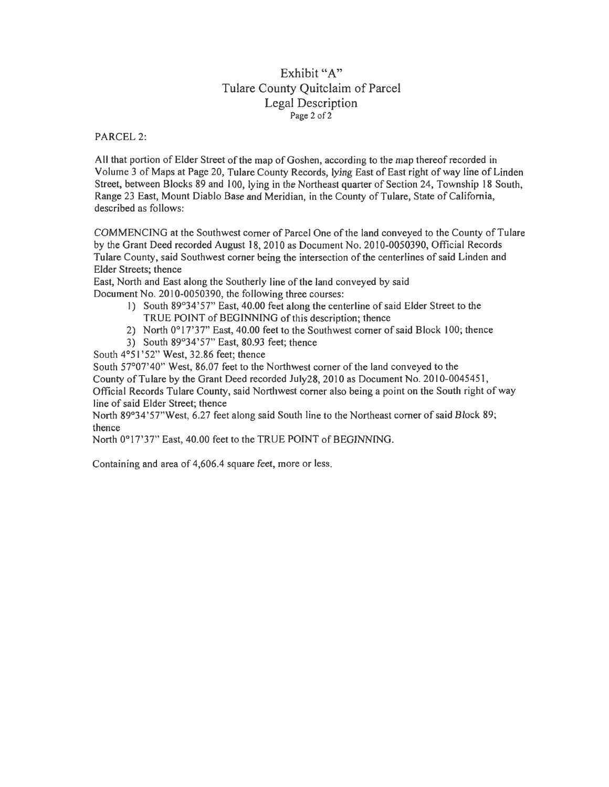## Exhibit "A" Tulare County Quitclaim of Parcel Legal Description Page 2 of 2

PARCEL 2:

A II that portion of Elder Street of the map of Goshen, according to the map thereof recorded in Volume 3 of Maps at Page 20, Tulare County Records, lying East of East right of way line of Linden Street, between Blocks 89 and 100, lying in the Northeast quarter of Section 24, Township 18 South, Range 23 East, Mount Diablo Base and Meridian, in the County of Tulare, State of California, described as follows:

COMMENCING at the Southwest corner of Parcel One of the land conveyed to the County of Tulare by the Grant Deed recorded August 18, 2010 as Document No. 2010-0050390, Official Records Tulare County, said Southwest comer being the intersection of the centerlines of said Linden and Elder Streets; thence

East, North and East along the Southerly line of the land conveyed by said Document No. 2010-0050390, the following three courses:

- 1) South 89°34'57" East, 40.00 feet along the centerline of said Elder Street to the TRUE POlNT of BEGINNING of this description; thence
- 2) North 0°17'37" East, 40.00 feet to the Southwest corner of said Block 100; thence
- 3) South 89°34'57" East, 80.93 feet; thence

South 4°51 '52" West, 32.86 feet; thence

South 57°07'40" West, 86.07 feet to the Northwest corner of the land conveyed to the

County of Tulare by the Grant Deed recorded July28, 2010 as Document No. 2010-0045451,

Official Records Tulare County, said Northwest comer also being a point on the South right of way line of said Elder Street; thence

North 89°34'57"West, 6.27 feet along said South line to the Northeast comer of said Block 89; thence

North 0°17'37'' East, 40.00 feet to the TRUE POINT of BEGINNING.

Containing and area of 4,606.4 square feet, more or less.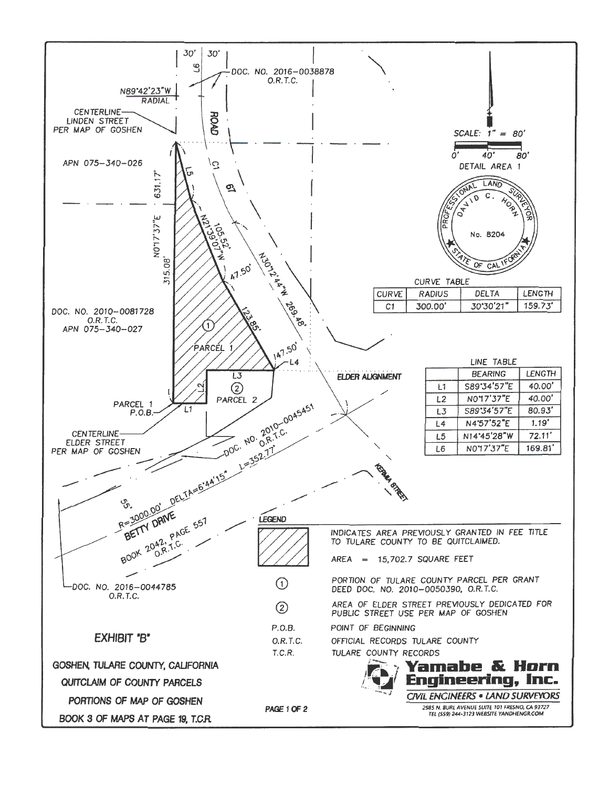